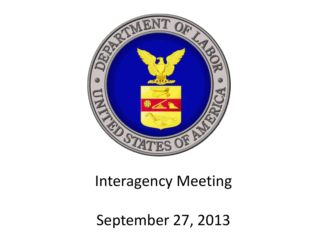

### Interagency Meeting

September 27, 2013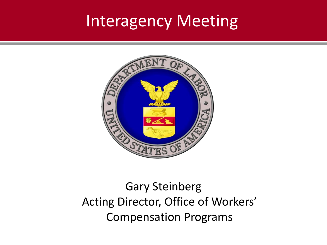### Interagency Meeting



### Gary Steinberg Acting Director, Office of Workers' Compensation Programs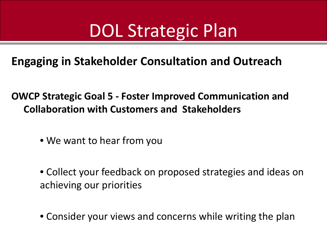## DOL Strategic Plan

**Engaging in Stakeholder Consultation and Outreach**

**OWCP Strategic Goal 5 - Foster Improved Communication and Collaboration with Customers and Stakeholders**

- We want to hear from you
- Collect your feedback on proposed strategies and ideas on achieving our priorities
- Consider your views and concerns while writing the plan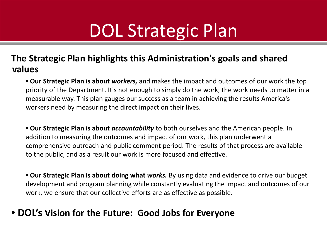## DOL Strategic Plan

#### **The Strategic Plan highlights this Administration's goals and shared values**

• **Our Strategic Plan is about** *workers,* and makes the impact and outcomes of our work the top priority of the Department. It's not enough to simply do the work; the work needs to matter in a measurable way. This plan gauges our success as a team in achieving the results America's workers need by measuring the direct impact on their lives.

• **Our Strategic Plan is about** *accountability* to both ourselves and the American people. In addition to measuring the outcomes and impact of our work, this plan underwent a comprehensive outreach and public comment period. The results of that process are available to the public, and as a result our work is more focused and effective.

• **Our Strategic Plan is about doing what** *works.* By using data and evidence to drive our budget development and program planning while constantly evaluating the impact and outcomes of our work, we ensure that our collective efforts are as effective as possible.

#### • **DOL's Vision for the Future: Good Jobs for Everyone**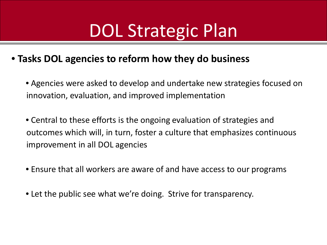## DOL Strategic Plan

#### • **Tasks DOL agencies to reform how they do business**

• Agencies were asked to develop and undertake new strategies focused on innovation, evaluation, and improved implementation

• Central to these efforts is the ongoing evaluation of strategies and outcomes which will, in turn, foster a culture that emphasizes continuous improvement in all DOL agencies

• Ensure that all workers are aware of and have access to our programs

• Let the public see what we're doing. Strive for transparency.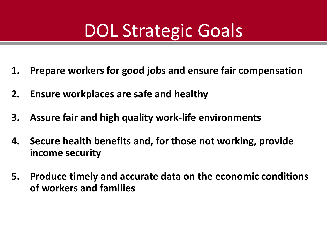# DOL Strategic Goals

- **1. Prepare workers for good jobs and ensure fair compensation**
- **2. Ensure workplaces are safe and healthy**
- **3. Assure fair and high quality work-life environments**
- **4. Secure health benefits and, for those not working, provide income security**
- **5. Produce timely and accurate data on the economic conditions of workers and families**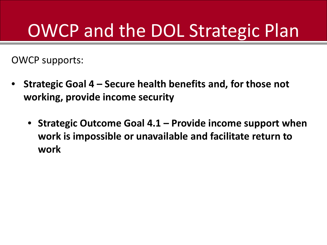# OWCP and the DOL Strategic Plan

OWCP supports:

- **Strategic Goal 4 – Secure health benefits and, for those not working, provide income security**
	- **Strategic Outcome Goal 4.1 – Provide income support when work is impossible or unavailable and facilitate return to work**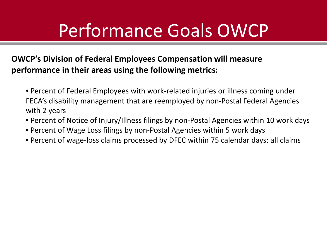## Performance Goals OWCP

#### **OWCP's Division of Federal Employees Compensation will measure performance in their areas using the following metrics:**

- Percent of Federal Employees with work-related injuries or illness coming under FECA's disability management that are reemployed by non-Postal Federal Agencies with 2 years
- Percent of Notice of Injury/Illness filings by non-Postal Agencies within 10 work days
- Percent of Wage Loss filings by non-Postal Agencies within 5 work days
- Percent of wage-loss claims processed by DFEC within 75 calendar days: all claims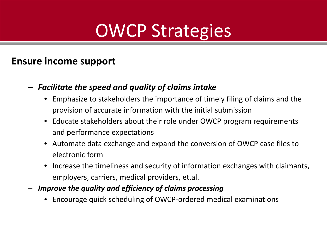#### **Ensure income support**

- *Facilitate the speed and quality of claims intake*
	- Emphasize to stakeholders the importance of timely filing of claims and the provision of accurate information with the initial submission
	- Educate stakeholders about their role under OWCP program requirements and performance expectations
	- Automate data exchange and expand the conversion of OWCP case files to electronic form
	- Increase the timeliness and security of information exchanges with claimants, employers, carriers, medical providers, et.al.
- *Improve the quality and efficiency of claims processing*
	- Encourage quick scheduling of OWCP-ordered medical examinations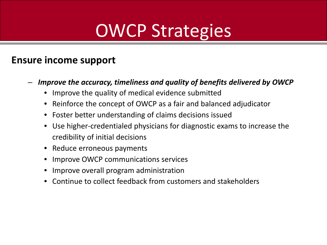#### **Ensure income support**

- *Improve the accuracy, timeliness and quality of benefits delivered by OWCP*
	- Improve the quality of medical evidence submitted
	- Reinforce the concept of OWCP as a fair and balanced adjudicator
	- Foster better understanding of claims decisions issued
	- Use higher-credentialed physicians for diagnostic exams to increase the credibility of initial decisions
	- Reduce erroneous payments
	- Improve OWCP communications services
	- Improve overall program administration
	- Continue to collect feedback from customers and stakeholders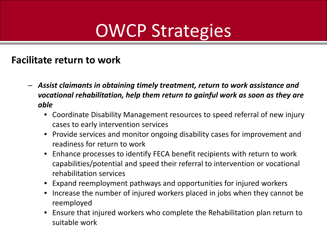#### **Facilitate return to work**

- *Assist claimants in obtaining timely treatment, return to work assistance and vocational rehabilitation, help them return to gainful work as soon as they are able*
	- Coordinate Disability Management resources to speed referral of new injury cases to early intervention services
	- Provide services and monitor ongoing disability cases for improvement and readiness for return to work
	- Enhance processes to identify FECA benefit recipients with return to work capabilities/potential and speed their referral to intervention or vocational rehabilitation services
	- Expand reemployment pathways and opportunities for injured workers
	- Increase the number of injured workers placed in jobs when they cannot be reemployed
	- Ensure that injured workers who complete the Rehabilitation plan return to suitable work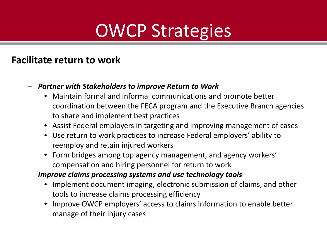#### **Facilitate return to work**

- *Partner with Stakeholders to improve Return to Work*
	- Maintain formal and informal communications and promote better coordination between the FECA program and the Executive Branch agencies to share and implement best practices
	- Assist Federal employers in targeting and improving management of cases
	- Use return to work practices to increase Federal employers' ability to reemploy and retain injured workers
	- Form bridges among top agency management, and agency workers' compensation and hiring personnel for return to work
- *Improve claims processing systems and use technology tools*
	- Implement document imaging, electronic submission of claims, and other tools to increase claims processing efficiency
	- Improve OWCP employers' access to claims information to enable better manage of their injury cases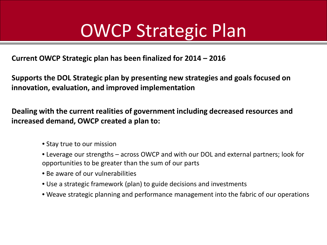### OWCP Strategic Plan

**Current OWCP Strategic plan has been finalized for 2014 – 2016**

**Supports the DOL Strategic plan by presenting new strategies and goals focused on innovation, evaluation, and improved implementation**

**Dealing with the current realities of government including decreased resources and increased demand, OWCP created a plan to:**

- Stay true to our mission
- Leverage our strengths across OWCP and with our DOL and external partners; look for opportunities to be greater than the sum of our parts
- Be aware of our vulnerabilities
- Use a strategic framework (plan) to guide decisions and investments
- Weave strategic planning and performance management into the fabric of our operations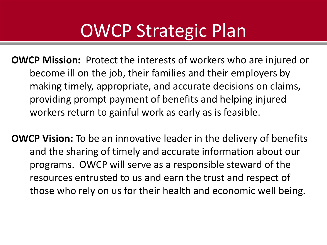### OWCP Strategic Plan

**OWCP Mission:** Protect the interests of workers who are injured or become ill on the job, their families and their employers by making timely, appropriate, and accurate decisions on claims, providing prompt payment of benefits and helping injured workers return to gainful work as early as is feasible.

**OWCP Vision:** To be an innovative leader in the delivery of benefits and the sharing of timely and accurate information about our programs. OWCP will serve as a responsible steward of the resources entrusted to us and earn the trust and respect of those who rely on us for their health and economic well being.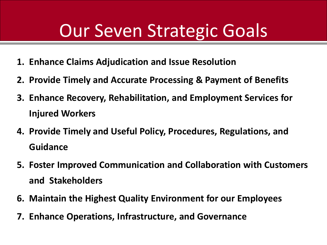### Our Seven Strategic Goals

- **1. Enhance Claims Adjudication and Issue Resolution**
- **2. Provide Timely and Accurate Processing & Payment of Benefits**
- **3. Enhance Recovery, Rehabilitation, and Employment Services for Injured Workers**
- **4. Provide Timely and Useful Policy, Procedures, Regulations, and Guidance**
- **5. Foster Improved Communication and Collaboration with Customers and Stakeholders**
- **6. Maintain the Highest Quality Environment for our Employees**
- **7. Enhance Operations, Infrastructure, and Governance**